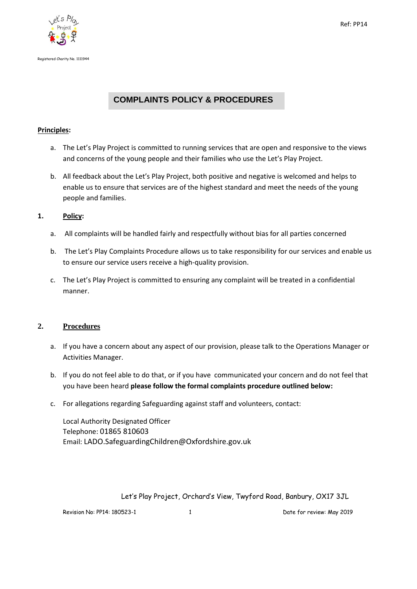



# **COMPLAINTS POLICY & PROCEDURES**

## **Principles:**

- a. The Let's Play Project is committed to running services that are open and responsive to the views and concerns of the young people and their families who use the Let's Play Project.
- b. All feedback about the Let's Play Project, both positive and negative is welcomed and helps to enable us to ensure that services are of the highest standard and meet the needs of the young people and families.

## **1. Policy:**

- a. All complaints will be handled fairly and respectfully without bias for all parties concerned
- b. The Let's Play Complaints Procedure allows us to take responsibility for our services and enable us to ensure our service users receive a high-quality provision.
- c. The Let's Play Project is committed to ensuring any complaint will be treated in a confidential manner.

### **2. Procedures**

- a. If you have a concern about any aspect of our provision, please talk to the Operations Manager or Activities Manager.
- b. If you do not feel able to do that, or if you have communicated your concern and do not feel that you have been heard **please follow the formal complaints procedure outlined below:**
- c. For allegations regarding Safeguarding against staff and volunteers, contact:

Local Authority Designated Officer Telephone: 01865 810603 Email: LADO.SafeguardingChildren@Oxfordshire.gov.uk

Let's Play Project, Orchard's View, Twyford Road, Banbury, OX17 3JL

Revision No: PP14: 180523-1 1 Date for review: May 2019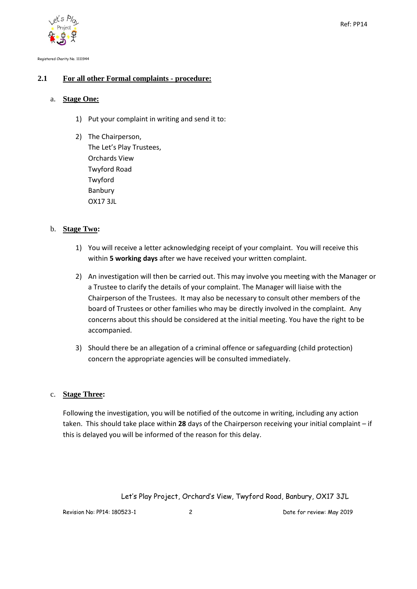

Registered Charity No. 1111944

## **2.1 For all other Formal complaints - procedure:**

#### a. **Stage One:**

- 1) Put your complaint in writing and send it to:
- 2) The Chairperson, The Let's Play Trustees, Orchards View Twyford Road Twyford Banbury OX17 3JL

### b. **Stage Two:**

- 1) You will receive a letter acknowledging receipt of your complaint. You will receive this within **5 working days** after we have received your written complaint.
- 2) An investigation will then be carried out. This may involve you meeting with the Manager or a Trustee to clarify the details of your complaint. The Manager will liaise with the Chairperson of the Trustees. It may also be necessary to consult other members of the board of Trustees or other families who may be directly involved in the complaint. Any concerns about this should be considered at the initial meeting. You have the right to be accompanied.
- 3) Should there be an allegation of a criminal offence or safeguarding (child protection) concern the appropriate agencies will be consulted immediately.

#### c. **Stage Three:**

Following the investigation, you will be notified of the outcome in writing, including any action taken. This should take place within **28** days of the Chairperson receiving your initial complaint – if this is delayed you will be informed of the reason for this delay.

Let's Play Project, Orchard's View, Twyford Road, Banbury, OX17 3JL

Revision No: PP14: 180523-1 2 2 2 Date for review: May 2019